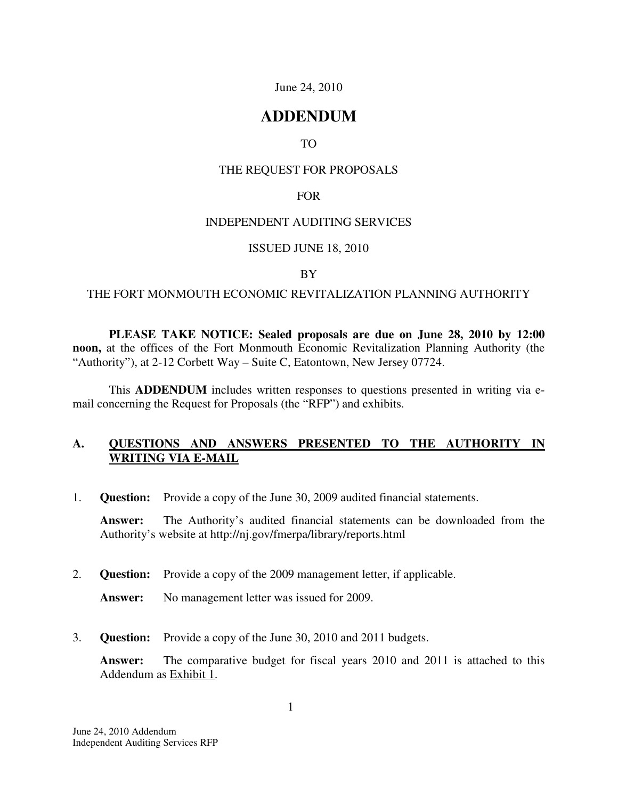#### June 24, 2010

# **ADDENDUM**

### TO

#### THE REQUEST FOR PROPOSALS

#### FOR

#### INDEPENDENT AUDITING SERVICES

#### ISSUED JUNE 18, 2010

#### BY

#### THE FORT MONMOUTH ECONOMIC REVITALIZATION PLANNING AUTHORITY

**PLEASE TAKE NOTICE: Sealed proposals are due on June 28, 2010 by 12:00 noon,** at the offices of the Fort Monmouth Economic Revitalization Planning Authority (the "Authority"), at 2-12 Corbett Way – Suite C, Eatontown, New Jersey 07724.

 This **ADDENDUM** includes written responses to questions presented in writing via email concerning the Request for Proposals (the "RFP") and exhibits.

## **A. QUESTIONS AND ANSWERS PRESENTED TO THE AUTHORITY IN WRITING VIA E-MAIL**

1. **Question:** Provide a copy of the June 30, 2009 audited financial statements.

**Answer:** The Authority's audited financial statements can be downloaded from the Authority's website at http://nj.gov/fmerpa/library/reports.html

2. **Question:** Provide a copy of the 2009 management letter, if applicable.

**Answer:** No management letter was issued for 2009.

3. **Question:** Provide a copy of the June 30, 2010 and 2011 budgets.

**Answer:** The comparative budget for fiscal years 2010 and 2011 is attached to this Addendum as Exhibit 1.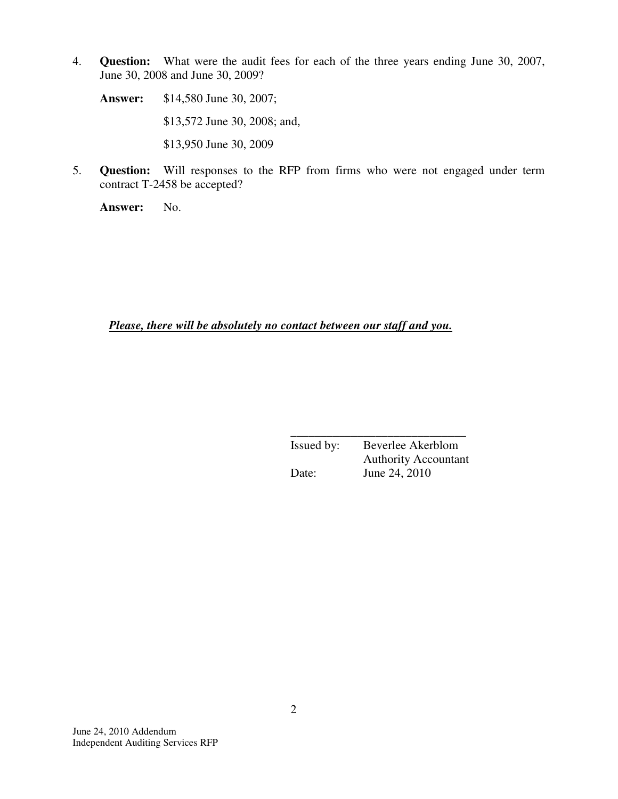4. **Question:** What were the audit fees for each of the three years ending June 30, 2007, June 30, 2008 and June 30, 2009?

**Answer:** \$14,580 June 30, 2007; \$13,572 June 30, 2008; and, \$13,950 June 30, 2009

5. **Question:** Will responses to the RFP from firms who were not engaged under term contract T-2458 be accepted?

**Answer:** No.

*Please, there will be absolutely no contact between our staff and you.* 

 $\frac{1}{\sqrt{2}}$  ,  $\frac{1}{\sqrt{2}}$  ,  $\frac{1}{\sqrt{2}}$  ,  $\frac{1}{\sqrt{2}}$  ,  $\frac{1}{\sqrt{2}}$  ,  $\frac{1}{\sqrt{2}}$  ,  $\frac{1}{\sqrt{2}}$  ,  $\frac{1}{\sqrt{2}}$  ,  $\frac{1}{\sqrt{2}}$  ,  $\frac{1}{\sqrt{2}}$  ,  $\frac{1}{\sqrt{2}}$  ,  $\frac{1}{\sqrt{2}}$  ,  $\frac{1}{\sqrt{2}}$  ,  $\frac{1}{\sqrt{2}}$  ,  $\frac{1}{\sqrt{2}}$  Issued by: Beverlee Akerblom Authority Accountant Date: June 24, 2010